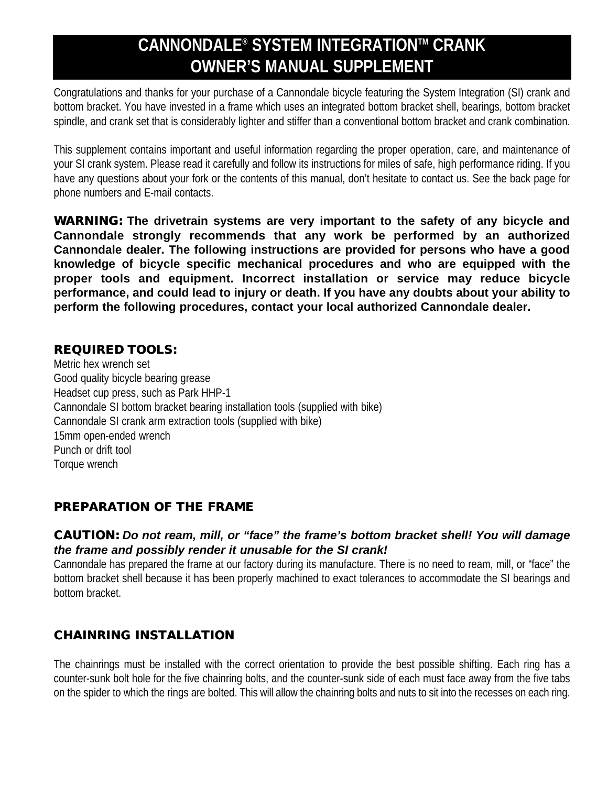# **CANNONDALE® SYSTEM INTEGRATIONTM CRANK OWNER'S MANUAL SUPPLEMENT**

Congratulations and thanks for your purchase of a Cannondale bicycle featuring the System Integration (SI) crank and bottom bracket. You have invested in a frame which uses an integrated bottom bracket shell, bearings, bottom bracket spindle, and crank set that is considerably lighter and stiffer than a conventional bottom bracket and crank combination.

This supplement contains important and useful information regarding the proper operation, care, and maintenance of your SI crank system. Please read it carefully and follow its instructions for miles of safe, high performance riding. If you have any questions about your fork or the contents of this manual, don't hesitate to contact us. See the back page for phone numbers and E-mail contacts.

**WARNING: The drivetrain systems are very important to the safety of any bicycle and Cannondale strongly recommends that any work be performed by an authorized Cannondale dealer. The following instructions are provided for persons who have a good knowledge of bicycle specific mechanical procedures and who are equipped with the proper tools and equipment. Incorrect installation or service may reduce bicycle performance, and could lead to injury or death. If you have any doubts about your ability to perform the following procedures, contact your local authorized Cannondale dealer.** 

## **REQUIRED TOOLS:**

Metric hex wrench set Good quality bicycle bearing grease Headset cup press, such as Park HHP-1 Cannondale SI bottom bracket bearing installation tools (supplied with bike) Cannondale SI crank arm extraction tools (supplied with bike) 15mm open-ended wrench Punch or drift tool Torque wrench

# **PREPARATION OF THE FRAME**

#### *CAUTION: Do not ream, mill, or "face" the frame's bottom bracket shell! You will damage the frame and possibly render it unusable for the SI crank!*

Cannondale has prepared the frame at our factory during its manufacture. There is no need to ream, mill, or "face" the bottom bracket shell because it has been properly machined to exact tolerances to accommodate the SI bearings and bottom bracket.

# **CHAINRING INSTALLATION**

The chainrings must be installed with the correct orientation to provide the best possible shifting. Each ring has a counter-sunk bolt hole for the five chainring bolts, and the counter-sunk side of each must face away from the five tabs on the spider to which the rings are bolted. This will allow the chainring bolts and nuts to sit into the recesses on each ring.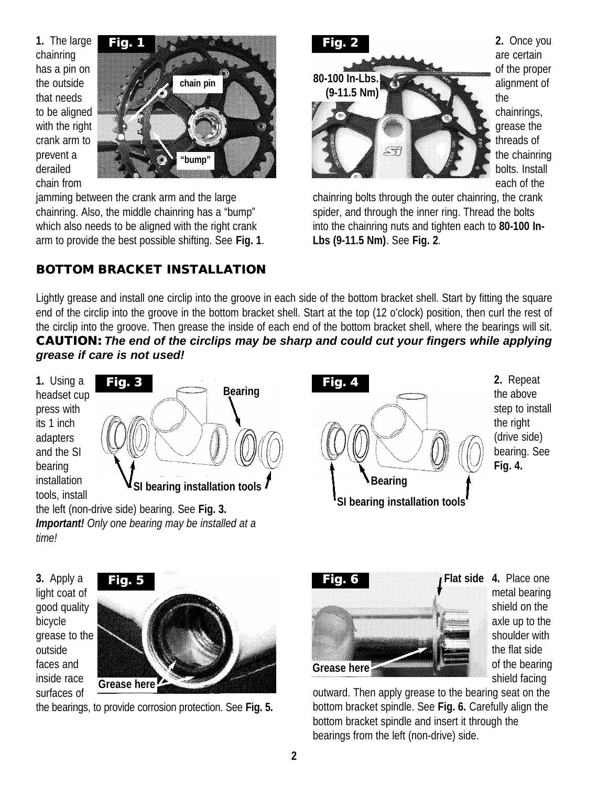**1.** The large chainring has a pin on the outside that needs to be aligned with the right crank arm to prevent a derailed chain from



jamming between the crank arm and the large chainring. Also, the middle chainring has a "bump" which also needs to be aligned with the right crank arm to provide the best possible shifting. See **Fig. 1**.

# **BOTTOM BRACKET INSTALLATION**



**2.** Once you are certain of the proper alignment of the chainrings, grease the threads of the chainring bolts. Install each of the

chainring bolts through the outer chainring, the crank spider, and through the inner ring. Thread the bolts into the chainring nuts and tighten each to **80-100 In-Lbs (9-11.5 Nm)**. See **Fig. 2**.

Lightly grease and install one circlip into the groove in each side of the bottom bracket shell. Start by fitting the square end of the circlip into the groove in the bottom bracket shell. Start at the top (12 o'clock) position, then curl the rest of the circlip into the groove. Then grease the inside of each end of the bottom bracket shell, where the bearings will sit. *CAUTION: The end of the circlips may be sharp and could cut your fingers while applying grease if care is not used!*

**1.** Using a headset cup press with its 1 inch adapters and the SI bearing installation tools, install



the left (non-drive side) bearing. See **Fig. 3.**  *Important! Only one bearing may be installed at a time!*



**2.** Repeat the above step to install the right (drive side) bearing. See

**3.** Apply a light coat of good quality bicycle grease to the outside faces and inside race surfaces of



the bearings, to provide corrosion protection. See **Fig. 5.** 



**4.** Place one **Flat side** metal bearing shield on the axle up to the shoulder with the flat side of the bearing shield facing

outward. Then apply grease to the bearing seat on the bottom bracket spindle. See **Fig. 6.** Carefully align the bottom bracket spindle and insert it through the bearings from the left (non-drive) side.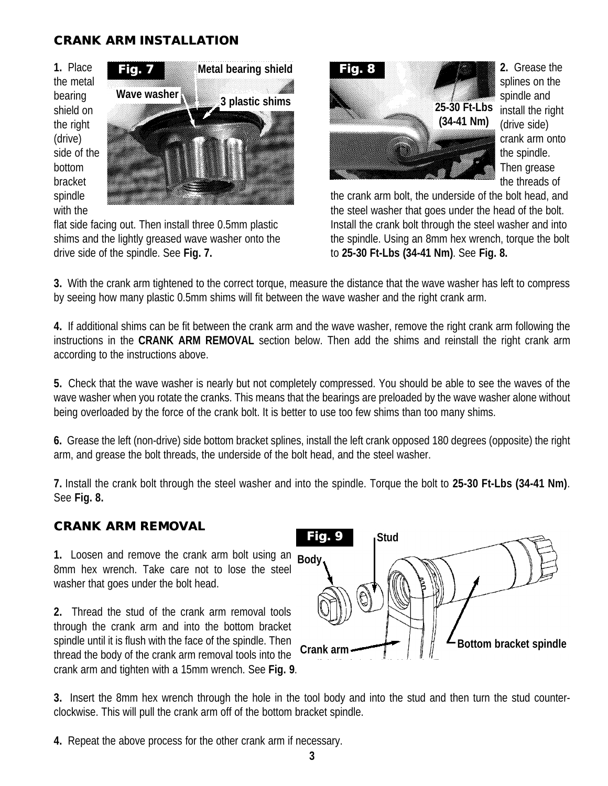## **CRANK ARM INSTALLATION**

**1.** Place the metal bearing shield on the right (drive) side of the bottom bracket spindle with the



flat side facing out. Then install three 0.5mm plastic shims and the lightly greased wave washer onto the drive side of the spindle. See **Fig. 7.**



**2.** Grease the splines on the spindle and install the right (drive side) crank arm onto the spindle. Then grease the threads of

the crank arm bolt, the underside of the bolt head, and the steel washer that goes under the head of the bolt. Install the crank bolt through the steel washer and into the spindle. Using an 8mm hex wrench, torque the bolt to **25-30 Ft-Lbs (34-41 Nm)**. See **Fig. 8.**

**3.** With the crank arm tightened to the correct torque, measure the distance that the wave washer has left to compress by seeing how many plastic 0.5mm shims will fit between the wave washer and the right crank arm.

**4.** If additional shims can be fit between the crank arm and the wave washer, remove the right crank arm following the instructions in the **CRANK ARM REMOVAL** section below. Then add the shims and reinstall the right crank arm according to the instructions above.

**5.** Check that the wave washer is nearly but not completely compressed. You should be able to see the waves of the wave washer when you rotate the cranks. This means that the bearings are preloaded by the wave washer alone without being overloaded by the force of the crank bolt. It is better to use too few shims than too many shims.

**6.** Grease the left (non-drive) side bottom bracket splines, install the left crank opposed 180 degrees (opposite) the right arm, and grease the bolt threads, the underside of the bolt head, and the steel washer.

**7.** Install the crank bolt through the steel washer and into the spindle. Torque the bolt to **25-30 Ft-Lbs (34-41 Nm)**. See **Fig. 8.** 

#### **CRANK ARM REMOVAL**

**1.** Loosen and remove the crank arm bolt using an 8mm hex wrench. Take care not to lose the steel washer that goes under the bolt head.

**2.** Thread the stud of the crank arm removal tools through the crank arm and into the bottom bracket spindle until it is flush with the face of the spindle. Then thread the body of the crank arm removal tools into the crank arm and tighten with a 15mm wrench. See **Fig. 9**.



**3.** Insert the 8mm hex wrench through the hole in the tool body and into the stud and then turn the stud counterclockwise. This will pull the crank arm off of the bottom bracket spindle.

**4.** Repeat the above process for the other crank arm if necessary.